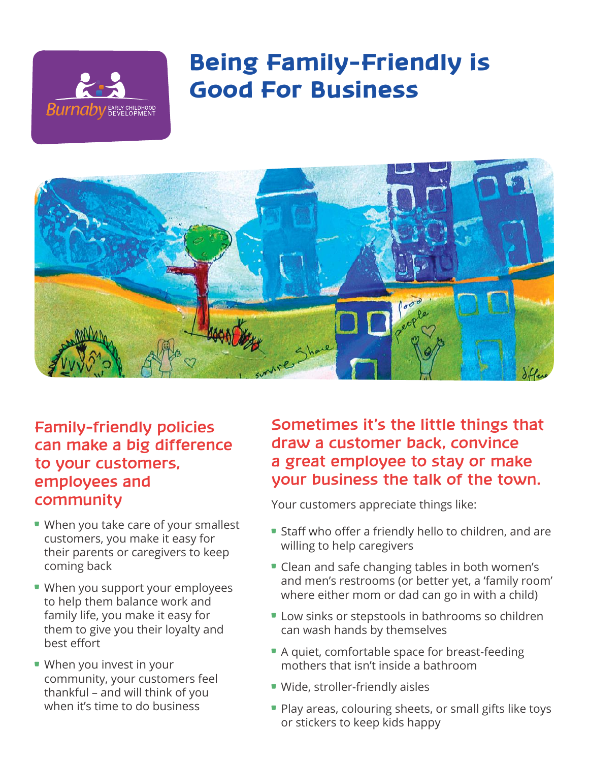

## Being Family-Friendly is Good For Business



## **Family-friendly policies can make a big difference to your customers, employees and community**

- When you take care of your smallest customers, you make it easy for their parents or caregivers to keep coming back
- **When you support your employees** to help them balance work and family life, you make it easy for them to give you their loyalty and best effort
- When you invest in your community, your customers feel thankful – and will think of you when it's time to do business

**Sometimes it's the little things that draw a customer back, convince a great employee to stay or make your business the talk of the town.**

Your customers appreciate things like:

- **Staff who offer a friendly hello to children, and are** willing to help caregivers
- **Clean and safe changing tables in both women's** and men's restrooms (or better yet, a 'family room' where either mom or dad can go in with a child)
- **Low sinks or stepstools in bathrooms so children** can wash hands by themselves
- A quiet, comfortable space for breast-feeding mothers that isn't inside a bathroom
- **Wide, stroller-friendly aisles**
- **Play areas, colouring sheets, or small gifts like toys** or stickers to keep kids happy